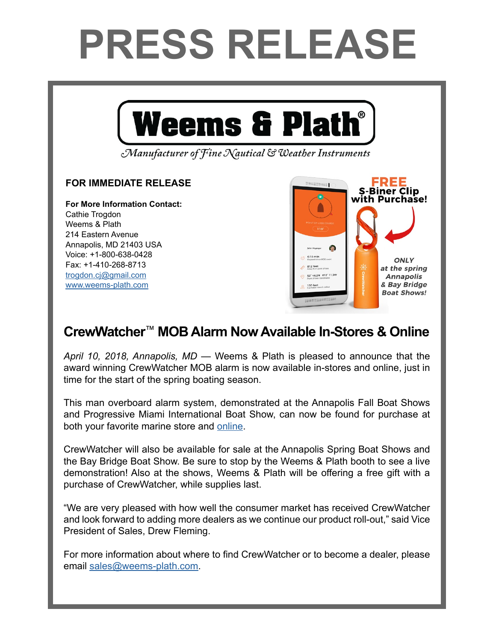## **PRESS RELEASE**



Manufacturer of Fine Nautical & Weather Instruments

## **FOR IMMEDIATE RELEASE**

**For More Information Contact:**  Cathie Trogdon Weems & Plath 214 Eastern Avenue Annapolis, MD 21403 USA Voice: +1-800-638-0428 Fax: +1-410-268-8713 [trogdon.cj@gmail.com](mailto:trogdon.cj%40gmail.com?subject=Regarding%20Press%20Release%20-%20On%20The%20Wind%20Sponsor) [www.weems-plath.com](http://www.weems-plath.com)



## **CrewWatcher**™ **MOB Alarm Now Available In-Stores & Online**

*April 10, 2018, Annapolis, MD* — Weems & Plath is pleased to announce that the award winning CrewWatcher MOB alarm is now available in-stores and online, just in time for the start of the spring boating season.

This man overboard alarm system, demonstrated at the Annapolis Fall Boat Shows and Progressive Miami International Boat Show, can now be found for purchase at both your favorite marine store and [online](http://www.weems-plath.com/Products/Safety-Products-1/CrewWatcher-Double.html).

CrewWatcher will also be available for sale at the Annapolis Spring Boat Shows and the Bay Bridge Boat Show. Be sure to stop by the Weems & Plath booth to see a live demonstration! Also at the shows, Weems & Plath will be offering a free gift with a purchase of CrewWatcher, while supplies last.

"We are very pleased with how well the consumer market has received CrewWatcher and look forward to adding more dealers as we continue our product roll-out," said Vice President of Sales, Drew Fleming.

For more information about where to find CrewWatcher or to become a dealer, please email [sales@weems-plath.com.](mailto:sales%40weems-plath.com?subject=Regarding%20CrewWatcher%20Availability%20Press%20Release)